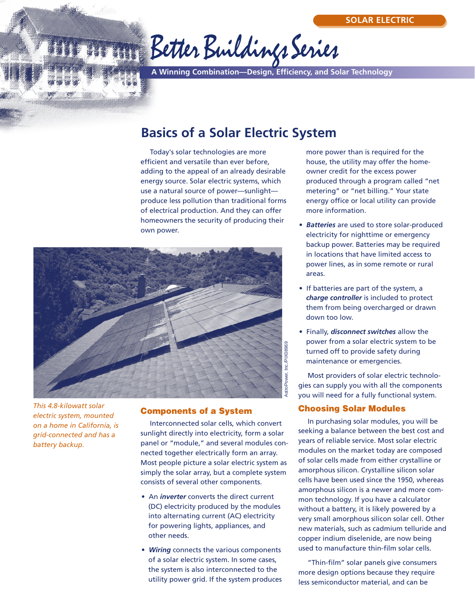

**A Winning Combination—Design, Efficiency, and Solar Technology**

## **Basics of a Solar Electric System**

Today's solar technologies are more efficient and versatile than ever before, adding to the appeal of an already desirable energy source. Solar electric systems, which use a natural source of power—sunlight produce less pollution than traditional forms of electrical production. And they can offer homeowners the security of producing their own power.



*This 4.8-kilowatt solar electric system, mounted on a home in California, is grid-connected and has a battery backup.*

## **Components of a System**

Interconnected solar cells, which convert sunlight directly into electricity, form a solar panel or "module," and several modules connected together electrically form an array. Most people picture a solar electric system as simply the solar array, but a complete system consists of several other components.

- An *inverter* converts the direct current (DC) electricity produced by the modules into alternating current (AC) electricity for powering lights, appliances, and other needs.
- *Wiring* connects the various components of a solar electric system. In some cases, the system is also interconnected to the utility power grid. If the system produces

more power than is required for the house, the utility may offer the homeowner credit for the excess power produced through a program called "net metering" or "net billing." Your state energy office or local utility can provide more information.

- *Batteries* are used to store solar-produced electricity for nighttime or emergency backup power. Batteries may be required in locations that have limited access to power lines, as in some remote or rural areas.
- If batteries are part of the system, a *charge controller* is included to protect them from being overcharged or drawn down too low.
- Finally, *disconnect switches* allow the power from a solar electric system to be turned off to provide safety during maintenance or emergencies.

Most providers of solar electric technologies can supply you with all the components you will need for a fully functional system.

## **Choosing Solar Modules**

In purchasing solar modules, you will be seeking a balance between the best cost and years of reliable service. Most solar electric modules on the market today are composed of solar cells made from either crystalline or amorphous silicon. Crystalline silicon solar cells have been used since the 1950, whereas amorphous silicon is a newer and more common technology. If you have a calculator without a battery, it is likely powered by a very small amorphous silicon solar cell. Other new materials, such as cadmium telluride and copper indium diselenide, are now being used to manufacture thin-film solar cells.

"Thin-film" solar panels give consumers more design options because they require less semiconductor material, and can be